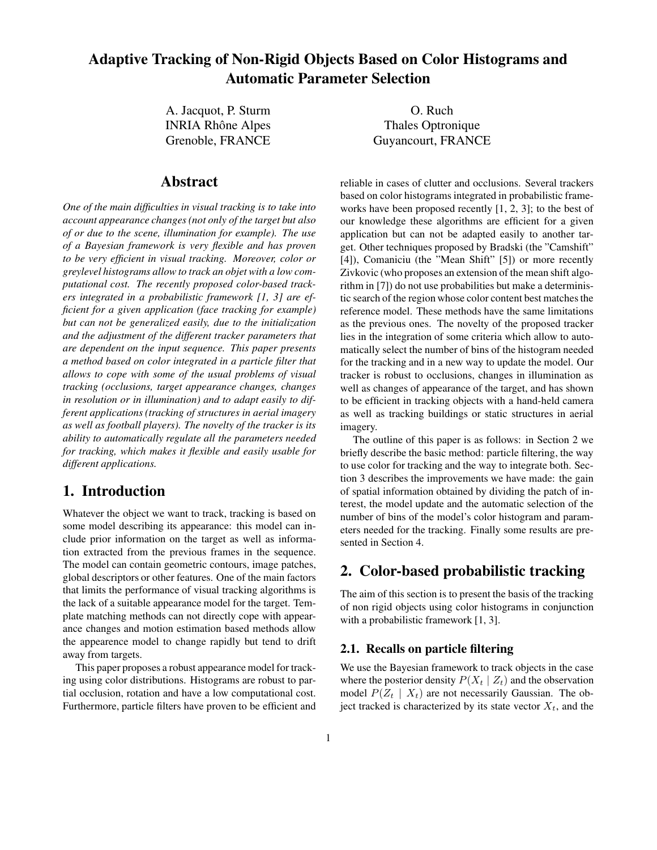# **Adaptive Tracking of Non-Rigid Objects Based on Color Histograms and Automatic Parameter Selection**

A. Jacquot, P. Sturm O. Ruch INRIA Rhône Alpes Thales Optronique Grenoble, FRANCE Guyancourt, FRANCE

**Abstract**

*One of the main difficulties in visual tracking is to take into account appearance changes (not only of the target but also of or due to the scene, illumination for example). The use of a Bayesian framework is very flexible and has proven to be very efficient in visual tracking. Moreover, color or greylevel histograms allow to track an objet with a low computational cost. The recently proposed color-based trackers integrated in a probabilistic framework [1, 3] are efficient for a given application (face tracking for example) but can not be generalized easily, due to the initialization and the adjustment of the different tracker parameters that are dependent on the input sequence. This paper presents a method based on color integrated in a particle filter that allows to cope with some of the usual problems of visual tracking (occlusions, target appearance changes, changes in resolution or in illumination) and to adapt easily to different applications (tracking of structures in aerial imagery as well as football players). The novelty of the tracker is its ability to automatically regulate all the parameters needed for tracking, which makes it flexible and easily usable for different applications.*

# **1. Introduction**

Whatever the object we want to track, tracking is based on some model describing its appearance: this model can include prior information on the target as well as information extracted from the previous frames in the sequence. The model can contain geometric contours, image patches, global descriptors or other features. One of the main factors that limits the performance of visual tracking algorithms is the lack of a suitable appearance model for the target. Template matching methods can not directly cope with appearance changes and motion estimation based methods allow the appearence model to change rapidly but tend to drift away from targets.

This paper proposes a robust appearance model for tracking using color distributions. Histograms are robust to partial occlusion, rotation and have a low computational cost. Furthermore, particle filters have proven to be efficient and reliable in cases of clutter and occlusions. Several trackers based on color histograms integrated in probabilistic frameworks have been proposed recently [1, 2, 3]; to the best of our knowledge these algorithms are efficient for a given application but can not be adapted easily to another target. Other techniques proposed by Bradski (the "Camshift" [4]), Comaniciu (the "Mean Shift" [5]) or more recently Zivkovic (who proposes an extension of the mean shift algorithm in [7]) do not use probabilities but make a deterministic search of the region whose color content best matches the reference model. These methods have the same limitations as the previous ones. The novelty of the proposed tracker lies in the integration of some criteria which allow to automatically select the number of bins of the histogram needed for the tracking and in a new way to update the model. Our tracker is robust to occlusions, changes in illumination as well as changes of appearance of the target, and has shown to be efficient in tracking objects with a hand-held camera as well as tracking buildings or static structures in aerial imagery.

The outline of this paper is as follows: in Section 2 we briefly describe the basic method: particle filtering, the way to use color for tracking and the way to integrate both. Section 3 describes the improvements we have made: the gain of spatial information obtained by dividing the patch of interest, the model update and the automatic selection of the number of bins of the model's color histogram and parameters needed for the tracking. Finally some results are presented in Section 4.

# **2. Color-based probabilistic tracking**

The aim of this section is to present the basis of the tracking of non rigid objects using color histograms in conjunction with a probabilistic framework [1, 3].

### **2.1. Recalls on particle filtering**

We use the Bayesian framework to track objects in the case where the posterior density  $P(X_t | Z_t)$  and the observation model  $P(Z_t | X_t)$  are not necessarily Gaussian. The object tracked is characterized by its state vector  $X_t$ , and the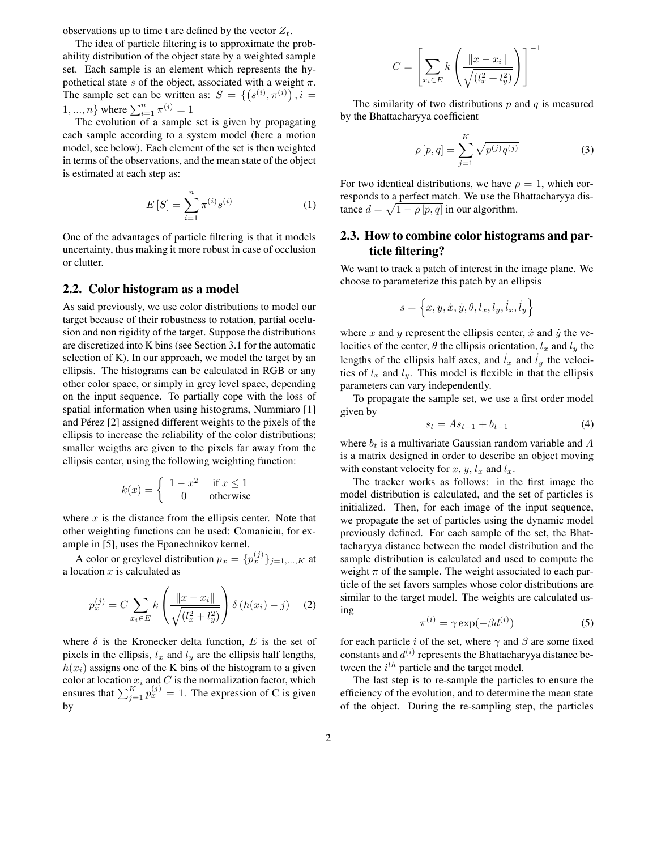observations up to time t are defined by the vector  $Z_t$ .

The idea of particle filtering is to approximate the probability distribution of the object state by a weighted sample set. Each sample is an element which represents the hypothetical state s of the object, associated with a weight  $\pi$ . The sample set can be written as:  $S = \{ (s^{(i)}, \pi^{(i)}) , i =$  $1, ..., n$ } where  $\sum_{i=1}^{n} \pi^{(i)} = 1$ 

The evolution of a sample set is given by propagating each sample according to a system model (here a motion model, see below). Each element of the set is then weighted in terms of the observations, and the mean state of the object is estimated at each step as:

$$
E\left[S\right] = \sum_{i=1}^{n} \pi^{(i)} s^{(i)} \tag{1}
$$

One of the advantages of particle filtering is that it models uncertainty, thus making it more robust in case of occlusion or clutter.

#### **2.2. Color histogram as a model**

As said previously, we use color distributions to model our target because of their robustness to rotation, partial occlusion and non rigidity of the target. Suppose the distributions are discretized into K bins (see Section 3.1 for the automatic selection of K). In our approach, we model the target by an ellipsis. The histograms can be calculated in RGB or any other color space, or simply in grey level space, depending on the input sequence. To partially cope with the loss of spatial information when using histograms, Nummiaro [1] and Pérez [2] assigned different weights to the pixels of the ellipsis to increase the reliability of the color distributions; smaller weigths are given to the pixels far away from the ellipsis center, using the following weighting function:

$$
k(x) = \begin{cases} 1 - x^2 & \text{if } x \le 1\\ 0 & \text{otherwise} \end{cases}
$$

where  $x$  is the distance from the ellipsis center. Note that other weighting functions can be used: Comaniciu, for example in [5], uses the Epanechnikov kernel.

A color or greylevel distribution  $p_x = \{p_x^{(j)}\}_{j=1,\dots,K}$  at a location  $x$  is calculated as

$$
p_x^{(j)} = C \sum_{x_i \in E} k \left( \frac{\|x - x_i\|}{\sqrt{(l_x^2 + l_y^2)}} \right) \delta \left( h(x_i) - j \right) \quad (2)
$$

where  $\delta$  is the Kronecker delta function, E is the set of pixels in the ellipsis,  $l_x$  and  $l_y$  are the ellipsis half lengths,  $h(x_i)$  assigns one of the K bins of the histogram to a given color at location  $x_i$  and C is the normalization factor, which ensures that  $\sum_{j=1}^{K} p_x^{(j)} = 1$ . The expression of C is given by

$$
C = \left[ \sum_{x_i \in E} k \left( \frac{\|x - x_i\|}{\sqrt{(l_x^2 + l_y^2)}} \right) \right]^{-1}
$$

The similarity of two distributions  $p$  and  $q$  is measured by the Bhattacharyya coefficient

$$
\rho[p,q] = \sum_{j=1}^{K} \sqrt{p^{(j)}q^{(j)}} \tag{3}
$$

For two identical distributions, we have  $\rho = 1$ , which corresponds to a perfect match. We use the Bhattacharyya distance  $d = \sqrt{1 - \rho[p, q]}$  in our algorithm.

### **2.3. How to combine color histograms and particle filtering?**

We want to track a patch of interest in the image plane. We choose to parameterize this patch by an ellipsis

$$
s = \left\{x, y, \dot{x}, \dot{y}, \theta, l_x, l_y, \dot{l}_x, \dot{l}_y\right\}
$$

where x and y represent the ellipsis center,  $\dot{x}$  and  $\dot{y}$  the velocities of the center,  $\theta$  the ellipsis orientation,  $l_x$  and  $l_y$  the lengths of the ellipsis half axes, and  $l_x$  and  $l_y$  the velocities of  $l_x$  and  $l_y$ . This model is flexible in that the ellipsis parameters can vary independently.

To propagate the sample set, we use a first order model given by

$$
s_t = A s_{t-1} + b_{t-1} \tag{4}
$$

where  $b_t$  is a multivariate Gaussian random variable and A is a matrix designed in order to describe an object moving with constant velocity for x, y,  $l_x$  and  $l_x$ .

The tracker works as follows: in the first image the model distribution is calculated, and the set of particles is initialized. Then, for each image of the input sequence, we propagate the set of particles using the dynamic model previously defined. For each sample of the set, the Bhattacharyya distance between the model distribution and the sample distribution is calculated and used to compute the weight  $\pi$  of the sample. The weight associated to each particle of the set favors samples whose color distributions are similar to the target model. The weights are calculated using

$$
\pi^{(i)} = \gamma \exp(-\beta d^{(i)})\tag{5}
$$

for each particle i of the set, where  $\gamma$  and  $\beta$  are some fixed constants and  $d^{(i)}$  represents the Bhattacharyya distance between the  $i^{th}$  particle and the target model.

The last step is to re-sample the particles to ensure the efficiency of the evolution, and to determine the mean state of the object. During the re-sampling step, the particles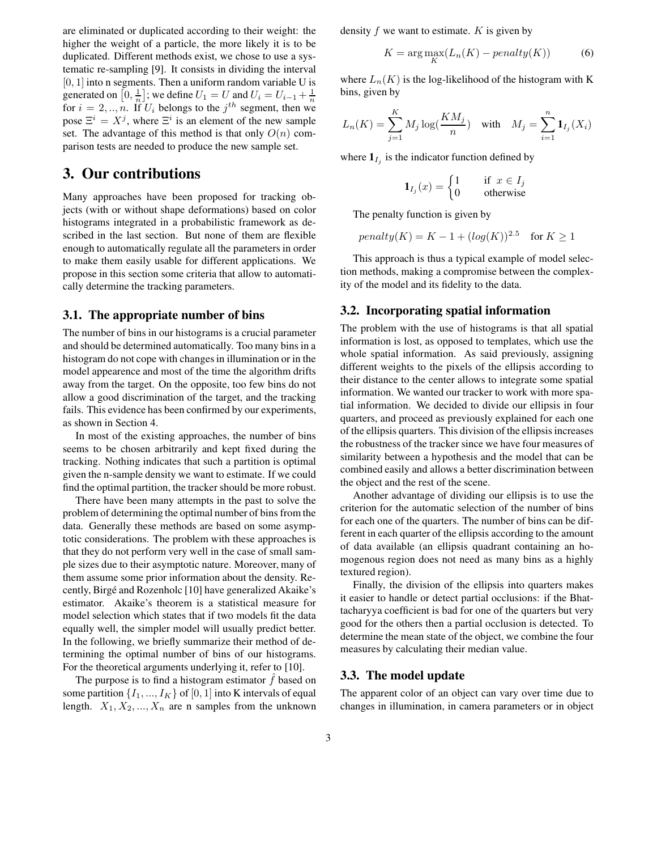are eliminated or duplicated according to their weight: the higher the weight of a particle, the more likely it is to be duplicated. Different methods exist, we chose to use a systematic re-sampling [9]. It consists in dividing the interval  $[0, 1]$  into n segments. Then a uniform random variable U is generated on  $\left[0, \frac{1}{n}\right]$ ; we define  $U_1 = U$  and  $U_i = U_{i-1} + \frac{1}{n}$ for  $i = 2, ..., n$ . If  $U_i$  belongs to the  $j<sup>th</sup>$  segment, then we pose  $\Xi^i = X^j$ , where  $\Xi^i$  is an element of the new sample set. The advantage of this method is that only  $O(n)$  comparison tests are needed to produce the new sample set.

## **3. Our contributions**

Many approaches have been proposed for tracking objects (with or without shape deformations) based on color histograms integrated in a probabilistic framework as described in the last section. But none of them are flexible enough to automatically regulate all the parameters in order to make them easily usable for different applications. We propose in this section some criteria that allow to automatically determine the tracking parameters.

#### **3.1. The appropriate number of bins**

The number of bins in our histograms is a crucial parameter and should be determined automatically. Too many bins in a histogram do not cope with changes in illumination or in the model appearence and most of the time the algorithm drifts away from the target. On the opposite, too few bins do not allow a good discrimination of the target, and the tracking fails. This evidence has been confirmed by our experiments, as shown in Section 4.

In most of the existing approaches, the number of bins seems to be chosen arbitrarily and kept fixed during the tracking. Nothing indicates that such a partition is optimal given the n-sample density we want to estimate. If we could find the optimal partition, the tracker should be more robust.

There have been many attempts in the past to solve the problem of determining the optimal number of bins from the data. Generally these methods are based on some asymptotic considerations. The problem with these approaches is that they do not perform very well in the case of small sample sizes due to their asymptotic nature. Moreover, many of them assume some prior information about the density. Recently, Birgé and Rozenholc [10] have generalized Akaike's estimator. Akaike's theorem is a statistical measure for model selection which states that if two models fit the data equally well, the simpler model will usually predict better. In the following, we briefly summarize their method of determining the optimal number of bins of our histograms. For the theoretical arguments underlying it, refer to [10].

The purpose is to find a histogram estimator  $f$  based on some partition  $\{I_1, ..., I_K\}$  of [0, 1] into K intervals of equal length.  $X_1, X_2, ..., X_n$  are n samples from the unknown density  $f$  we want to estimate.  $K$  is given by

$$
K = \arg\max_{K} (L_n(K) - penalty(K))
$$
 (6)

where  $L_n(K)$  is the log-likelihood of the histogram with K bins, given by

$$
L_n(K) = \sum_{j=1}^K M_j \log(\frac{KM_j}{n}) \quad \text{with} \quad M_j = \sum_{i=1}^n \mathbf{1}_{I_j}(X_i)
$$

where  $\mathbf{1}_{I_j}$  is the indicator function defined by

$$
\mathbf{1}_{I_j}(x) = \begin{cases} 1 & \text{if } x \in I_j \\ 0 & \text{otherwise} \end{cases}
$$

The penalty function is given by

$$
penalty(K) = K - 1 + (log(K))^{2.5} \quad \text{for } K \ge 1
$$

This approach is thus a typical example of model selection methods, making a compromise between the complexity of the model and its fidelity to the data.

#### **3.2. Incorporating spatial information**

The problem with the use of histograms is that all spatial information is lost, as opposed to templates, which use the whole spatial information. As said previously, assigning different weights to the pixels of the ellipsis according to their distance to the center allows to integrate some spatial information. We wanted our tracker to work with more spatial information. We decided to divide our ellipsis in four quarters, and proceed as previously explained for each one of the ellipsis quarters. This division of the ellipsis increases the robustness of the tracker since we have four measures of similarity between a hypothesis and the model that can be combined easily and allows a better discrimination between the object and the rest of the scene.

Another advantage of dividing our ellipsis is to use the criterion for the automatic selection of the number of bins for each one of the quarters. The number of bins can be different in each quarter of the ellipsis according to the amount of data available (an ellipsis quadrant containing an homogenous region does not need as many bins as a highly textured region).

Finally, the division of the ellipsis into quarters makes it easier to handle or detect partial occlusions: if the Bhattacharyya coefficient is bad for one of the quarters but very good for the others then a partial occlusion is detected. To determine the mean state of the object, we combine the four measures by calculating their median value.

#### **3.3. The model update**

The apparent color of an object can vary over time due to changes in illumination, in camera parameters or in object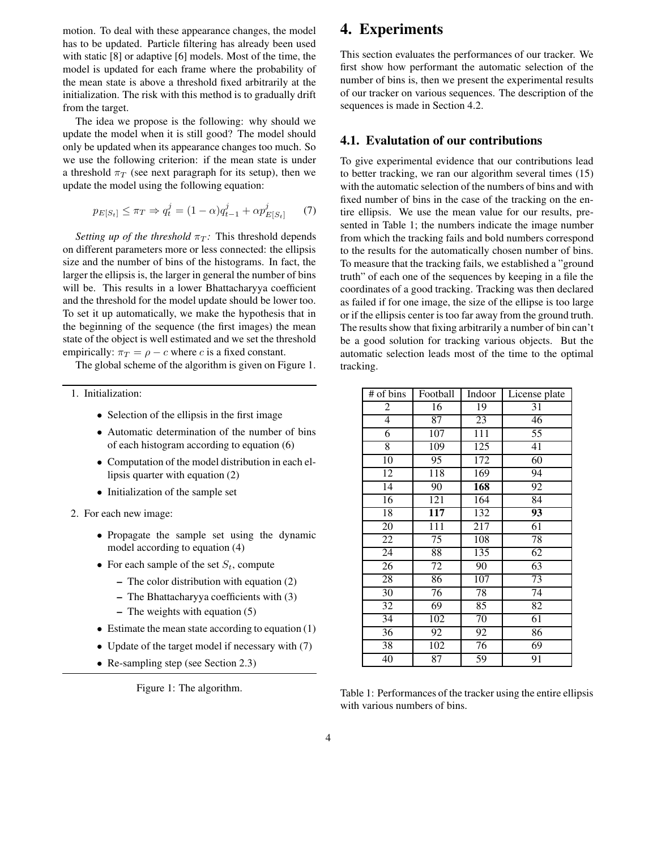motion. To deal with these appearance changes, the model has to be updated. Particle filtering has already been used with static [8] or adaptive [6] models. Most of the time, the model is updated for each frame where the probability of the mean state is above a threshold fixed arbitrarily at the initialization. The risk with this method is to gradually drift from the target.

The idea we propose is the following: why should we update the model when it is still good? The model should only be updated when its appearance changes too much. So we use the following criterion: if the mean state is under a threshold  $\pi_T$  (see next paragraph for its setup), then we update the model using the following equation:

$$
p_{E[S_t]} \le \pi_T \Rightarrow q_t^j = (1 - \alpha)q_{t-1}^j + \alpha p_{E[S_t]}^j \tag{7}
$$

*Setting up of the threshold*  $\pi_T$ *:* This threshold depends on different parameters more or less connected: the ellipsis size and the number of bins of the histograms. In fact, the larger the ellipsis is, the larger in general the number of bins will be. This results in a lower Bhattacharyya coefficient and the threshold for the model update should be lower too. To set it up automatically, we make the hypothesis that in the beginning of the sequence (the first images) the mean state of the object is well estimated and we set the threshold empirically:  $\pi_T = \rho - c$  where c is a fixed constant.

The global scheme of the algorithm is given on Figure 1.

- 1. Initialization:
	- Selection of the ellipsis in the first image
	- Automatic determination of the number of bins of each histogram according to equation (6)
	- Computation of the model distribution in each ellipsis quarter with equation (2)
	- Initialization of the sample set
- 2. For each new image:
	- Propagate the sample set using the dynamic model according to equation (4)
	- For each sample of the set  $S_t$ , compute
		- **–** The color distribution with equation (2)
		- **–** The Bhattacharyya coefficients with (3)
		- **–** The weights with equation (5)
	- Estimate the mean state according to equation (1)
	- Update of the target model if necessary with (7)
	- Re-sampling step (see Section 2.3)

Figure 1: The algorithm.

## **4. Experiments**

This section evaluates the performances of our tracker. We first show how performant the automatic selection of the number of bins is, then we present the experimental results of our tracker on various sequences. The description of the sequences is made in Section 4.2.

### **4.1. Evalutation of our contributions**

To give experimental evidence that our contributions lead to better tracking, we ran our algorithm several times (15) with the automatic selection of the numbers of bins and with fixed number of bins in the case of the tracking on the entire ellipsis. We use the mean value for our results, presented in Table 1; the numbers indicate the image number from which the tracking fails and bold numbers correspond to the results for the automatically chosen number of bins. To measure that the tracking fails, we established a "ground truth" of each one of the sequences by keeping in a file the coordinates of a good tracking. Tracking was then declared as failed if for one image, the size of the ellipse is too large or if the ellipsis center is too far away from the ground truth. The results show that fixing arbitrarily a number of bin can't be a good solution for tracking various objects. But the automatic selection leads most of the time to the optimal tracking.

| # of bins       | Football         | Indoor           | License plate   |
|-----------------|------------------|------------------|-----------------|
| 2               | 16               | 19               | 31              |
| 4               | 87               | 23               | 46              |
| 6               | 107              | 111              | 55              |
| 8               | 109              | 125              | 41              |
| $\overline{10}$ | $\overline{95}$  | 172              | $\overline{60}$ |
| 12              | 118              | 169              | 94              |
| 14              | 90               | 168              | 92              |
| 16              | 121              | 164              | 84              |
| $\overline{18}$ | $\overline{117}$ | 132              | $\overline{93}$ |
| 20              | $\overline{111}$ | $\overline{217}$ | $\overline{61}$ |
| 22              | $\overline{75}$  | 108              | 78              |
| $\overline{24}$ | $\overline{88}$  | 135              | $\overline{62}$ |
| 26              | $\overline{72}$  | $\overline{90}$  | $\overline{63}$ |
| 28              | 86               | 107              | 73              |
| $\overline{30}$ | 76               | 78               | 74              |
| $\overline{32}$ | 69               | $\overline{85}$  | $\overline{82}$ |
| 34              | 102              | 70               | 61              |
| 36              | 92               | 92               | 86              |
| 38              | 102              | $\overline{76}$  | 69              |
| 40              | 87               | $\overline{59}$  | $\overline{91}$ |

Table 1: Performances of the tracker using the entire ellipsis with various numbers of bins.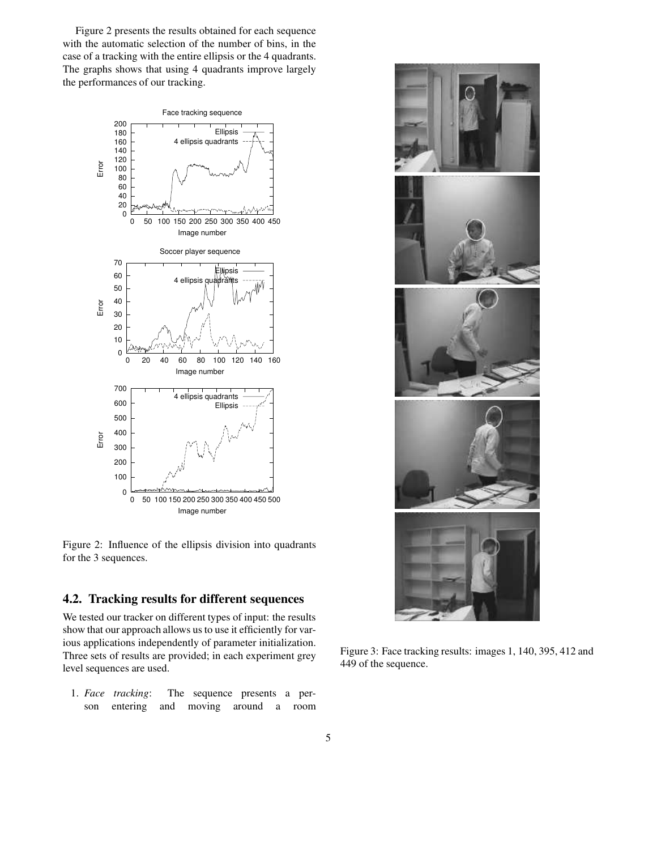Figure 2 presents the results obtained for each sequence with the automatic selection of the number of bins, in the case of a tracking with the entire ellipsis or the 4 quadrants. The graphs shows that using 4 quadrants improve largely the performances of our tracking.



Figure 2: Influence of the ellipsis division into quadrants for the 3 sequences.

### **4.2. Tracking results for different sequences**

We tested our tracker on different types of input: the results show that our approach allows us to use it efficiently for various applications independently of parameter initialization. Three sets of results are provided; in each experiment grey level sequences are used.

1. *Face tracking*: The sequence presents a person entering and moving around a room



Figure 3: Face tracking results: images 1, 140, 395, 412 and 449 of the sequence.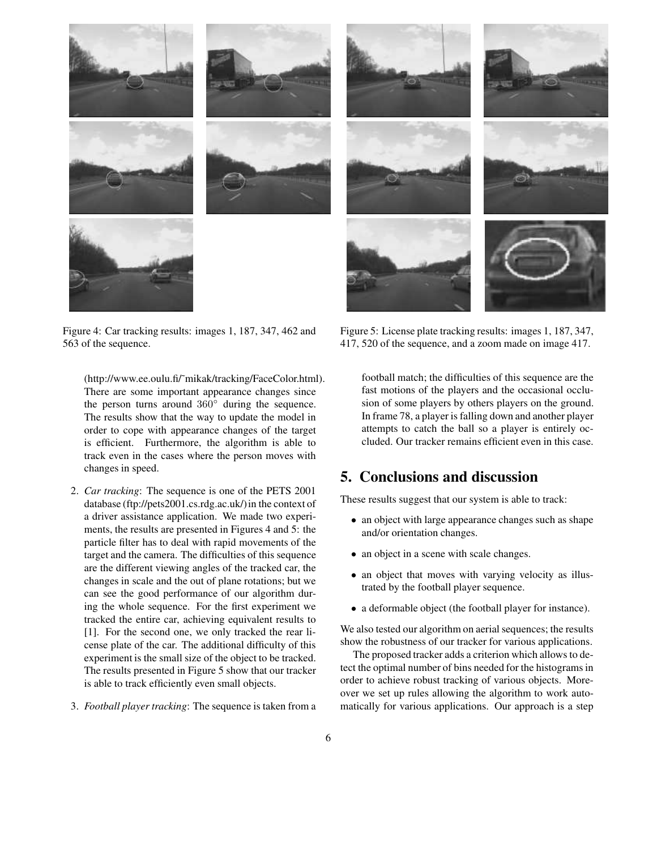

Figure 4: Car tracking results: images 1, 187, 347, 462 and 563 of the sequence.

(http://www.ee.oulu.fi/˜mikak/tracking/FaceColor.html). There are some important appearance changes since the person turns around 360◦ during the sequence. The results show that the way to update the model in order to cope with appearance changes of the target is efficient. Furthermore, the algorithm is able to track even in the cases where the person moves with changes in speed.

- 2. *Car tracking*: The sequence is one of the PETS 2001 database (ftp://pets2001.cs.rdg.ac.uk/) in the context of a driver assistance application. We made two experiments, the results are presented in Figures 4 and 5: the particle filter has to deal with rapid movements of the target and the camera. The difficulties of this sequence are the different viewing angles of the tracked car, the changes in scale and the out of plane rotations; but we can see the good performance of our algorithm during the whole sequence. For the first experiment we tracked the entire car, achieving equivalent results to [1]. For the second one, we only tracked the rear license plate of the car. The additional difficulty of this experiment is the small size of the object to be tracked. The results presented in Figure 5 show that our tracker is able to track efficiently even small objects.
- 3. *Football player tracking*: The sequence is taken from a



Figure 5: License plate tracking results: images 1, 187, 347, 417, 520 of the sequence, and a zoom made on image 417.

football match; the difficulties of this sequence are the fast motions of the players and the occasional occlusion of some players by others players on the ground. In frame 78, a player is falling down and another player attempts to catch the ball so a player is entirely occluded. Our tracker remains efficient even in this case.

## **5. Conclusions and discussion**

These results suggest that our system is able to track:

- an object with large appearance changes such as shape and/or orientation changes.
- an object in a scene with scale changes.
- an object that moves with varying velocity as illustrated by the football player sequence.
- a deformable object (the football player for instance).

We also tested our algorithm on aerial sequences; the results show the robustness of our tracker for various applications.

The proposed tracker adds a criterion which allows to detect the optimal number of bins needed for the histograms in order to achieve robust tracking of various objects. Moreover we set up rules allowing the algorithm to work automatically for various applications. Our approach is a step